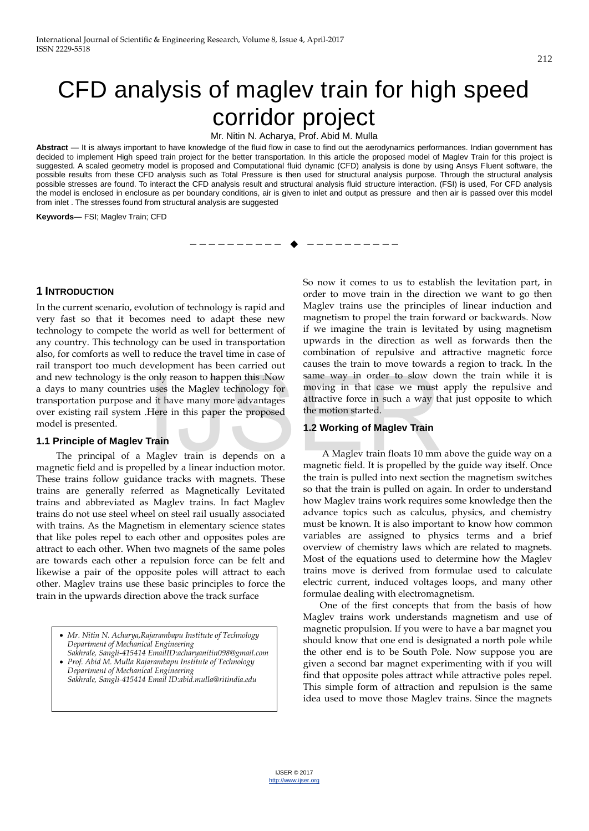# CFD analysis of maglev train for high speed corridor project

Mr. Nitin N. Acharya, Prof. Abid M. Mulla

**Abstract** — It is always important to have knowledge of the fluid flow in case to find out the aerodynamics performances. Indian government has decided to implement High speed train project for the better transportation. In this article the proposed model of Maglev Train for this project is suggested. A scaled geometry model is proposed and Computational fluid dynamic (CFD) analysis is done by using Ansys Fluent software, the possible results from these CFD analysis such as Total Pressure is then used for structural analysis purpose. Through the structural analysis possible stresses are found. To interact the CFD analysis result and structural analysis fluid structure interaction. (FSI) is used, For CFD analysis the model is enclosed in enclosure as per boundary conditions, air is given to inlet and output as pressure and then air is passed over this model from inlet . The stresses found from structural analysis are suggested

—————————— ——————————

**Keywords**— FSI; Maglev Train; CFD

# **1 INTRODUCTION**

In the current scenario, evolution of technology is rapid and very fast so that it becomes need to adapt these new technology to compete the world as well for betterment of any country. This technology can be used in transportation also, for comforts as well to reduce the travel time in case of rail transport too much development has been carried out and new technology is the only reason to happen this .Now a days to many countries uses the Maglev technology for transportation purpose and it have many more advantages over existing rail system .Here in this paper the proposed model is presented. only reason to happen this .Now same way in order to slow domesting that uses the Maglev technology for moving in that case we must dit have many more advantages attractive force in such a way the motion started.<br> **Train**

# **1.1 Principle of Maglev Train**

 The principal of a Maglev train is depends on a magnetic field and is propelled by a linear induction motor. These trains follow guidance tracks with magnets. These trains are generally referred as Magnetically Levitated trains and abbreviated as Maglev trains. In fact Maglev trains do not use steel wheel on steel rail usually associated with trains. As the Magnetism in elementary science states that like poles repel to each other and opposites poles are attract to each other. When two magnets of the same poles are towards each other a repulsion force can be felt and likewise a pair of the opposite poles will attract to each other. Maglev trains use these basic principles to force the train in the upwards direction above the track surface

- *Mr. Nitin N. Acharya,Rajarambapu Institute of Technology Department of Mechanical Engineering Sakhrale, Sangli-415414 EmailID:acharyanitin098@gmail.com*
- *Prof. Abid M. Mulla Rajarambapu Institute of Technology Department of Mechanical Engineering Sakhrale, Sangli-415414 Email ID:abid.mulla@ritindia.edu*

So now it comes to us to establish the levitation part, in order to move train in the direction we want to go then Maglev trains use the principles of linear induction and magnetism to propel the train forward or backwards. Now if we imagine the train is levitated by using magnetism upwards in the direction as well as forwards then the combination of repulsive and attractive magnetic force causes the train to move towards a region to track. In the same way in order to slow down the train while it is moving in that case we must apply the repulsive and attractive force in such a way that just opposite to which the motion started.

# **1.2 Working of Maglev Train**

 A Maglev train floats 10 mm above the guide way on a magnetic field. It is propelled by the guide way itself. Once the train is pulled into next section the magnetism switches so that the train is pulled on again. In order to understand how Maglev trains work requires some knowledge then the advance topics such as calculus, physics, and chemistry must be known. It is also important to know how common variables are assigned to physics terms and a brief overview of chemistry laws which are related to magnets. Most of the equations used to determine how the Maglev trains move is derived from formulae used to calculate electric current, induced voltages loops, and many other formulae dealing with electromagnetism.

 One of the first concepts that from the basis of how Maglev trains work understands magnetism and use of magnetic propulsion. If you were to have a bar magnet you should know that one end is designated a north pole while the other end is to be South Pole. Now suppose you are given a second bar magnet experimenting with if you will find that opposite poles attract while attractive poles repel. This simple form of attraction and repulsion is the same idea used to move those Maglev trains. Since the magnets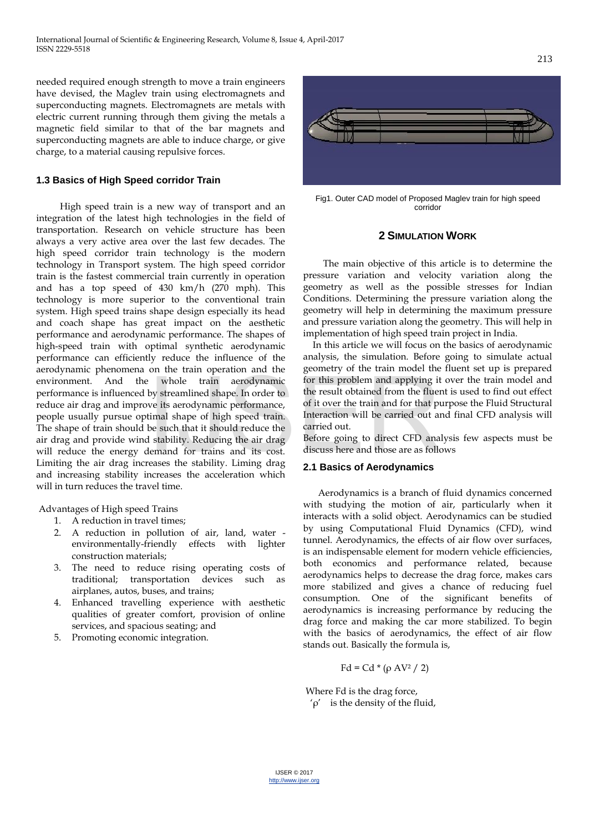needed required enough strength to move a train engineers have devised, the Maglev train using electromagnets and superconducting magnets. Electromagnets are metals with electric current running through them giving the metals a magnetic field similar to that of the bar magnets and superconducting magnets are able to induce charge, or give charge, to a material causing repulsive forces.

# **1.3 Basics of High Speed corridor Train**

 High speed train is a new way of transport and an integration of the latest high technologies in the field of transportation. Research on vehicle structure has been always a very active area over the last few decades. The high speed corridor train technology is the modern technology in Transport system. The high speed corridor train is the fastest commercial train currently in operation and has a top speed of 430 km/h (270 mph). This technology is more superior to the conventional train system. High speed trains shape design especially its head and coach shape has great impact on the aesthetic performance and aerodynamic performance. The shapes of high-speed train with optimal synthetic aerodynamic performance can efficiently reduce the influence of the aerodynamic phenomena on the train operation and the environment. And the whole train aerodynamic performance is influenced by streamlined shape. In order to reduce air drag and improve its aerodynamic performance, people usually pursue optimal shape of high speed train. The shape of train should be such that it should reduce the air drag and provide wind stability. Reducing the air drag will reduce the energy demand for trains and its cost. Limiting the air drag increases the stability. Liming drag and increasing stability increases the acceleration which will in turn reduces the travel time. Frame are dynamic for this problem and applying it<br>by streamlined shape. In order to<br>the result obtained from the flue<br>timal shape of high speed train. Interaction will be carried out as<br>be such that it should reduce the<br>d

Advantages of High speed Trains

- 1. A reduction in travel times;
- 2. A reduction in pollution of air, land, water environmentally-friendly effects with lighter construction materials;
- 3. The need to reduce rising operating costs of traditional; transportation devices such as airplanes, autos, buses, and trains;
- 4. Enhanced travelling experience with aesthetic qualities of greater comfort, provision of online services, and spacious seating; and
- 5. Promoting economic integration.



Fig1. Outer CAD model of Proposed Maglev train for high speed corridor

# **2 SIMULATION WORK**

 The main objective of this article is to determine the pressure variation and velocity variation along the geometry as well as the possible stresses for Indian Conditions. Determining the pressure variation along the geometry will help in determining the maximum pressure and pressure variation along the geometry. This will help in implementation of high speed train project in India.

 In this article we will focus on the basics of aerodynamic analysis, the simulation. Before going to simulate actual geometry of the train model the fluent set up is prepared for this problem and applying it over the train model and the result obtained from the fluent is used to find out effect of it over the train and for that purpose the Fluid Structural Interaction will be carried out and final CFD analysis will carried out.

Before going to direct CFD analysis few aspects must be discuss here and those are as follows

# **2.1 Basics of Aerodynamics**

 Aerodynamics is a branch of fluid dynamics concerned with studying the motion of air, particularly when it interacts with a solid object. Aerodynamics can be studied by using Computational Fluid Dynamics (CFD), wind tunnel. Aerodynamics, the effects of air flow over surfaces, is an indispensable element for modern vehicle efficiencies, both economics and performance related, because aerodynamics helps to decrease the drag force, makes cars more stabilized and gives a chance of reducing fuel consumption. One of the significant benefits of aerodynamics is increasing performance by reducing the drag force and making the car more stabilized. To begin with the basics of aerodynamics, the effect of air flow stands out. Basically the formula is,

Fd = Cd \* (ρ AV<sup>2</sup> / 2)

 Where Fd is the drag force,  $'ρ'$  is the density of the fluid,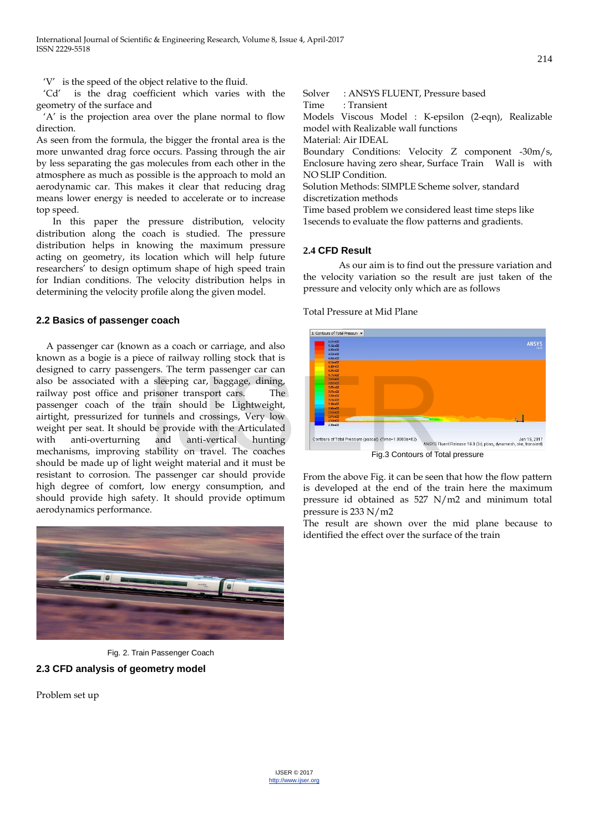‗V' is the speed of the object relative to the fluid.

 ‗Cd' is the drag coefficient which varies with the geometry of the surface and

 ‗A' is the projection area over the plane normal to flow direction.

As seen from the formula, the bigger the frontal area is the more unwanted drag force occurs. Passing through the air by less separating the gas molecules from each other in the atmosphere as much as possible is the approach to mold an aerodynamic car. This makes it clear that reducing drag means lower energy is needed to accelerate or to increase top speed.

 In this paper the pressure distribution, velocity distribution along the coach is studied. The pressure distribution helps in knowing the maximum pressure acting on geometry, its location which will help future researchers' to design optimum shape of high speed train for Indian conditions. The velocity distribution helps in determining the velocity profile along the given model.

#### **2.2 Basics of passenger coach**

 A passenger car (known as a coach or carriage, and also known as a bogie is a piece of railway rolling stock that is designed to carry passengers. The term passenger car can also be associated with a sleeping car, baggage, dining, railway post office and prisoner transport cars. The passenger coach of the train should be Lightweight, airtight, pressurized for tunnels and crossings, Very low weight per seat. It should be provide with the Articulated with anti-overturning and anti-vertical hunting mechanisms, improving stability on travel. The coaches should be made up of light weight material and it must be resistant to corrosion. The passenger car should provide high degree of comfort, low energy consumption, and should provide high safety. It should provide optimum aerodynamics performance. Interpretation of Total Pressure (Data of Total Pressure (Data of Total Pressure (Data of Total Pressure (Data of Total Pressure (Data of Total Pressure (Data of Total Pressure (Data of Total Pressure (Data of Total Pressu



Fig. 2. Train Passenger Coach

# **2.3 CFD analysis of geometry model**

Problem set up

Solver : ANSYS FLUENT, Pressure based Time : Transient

Models Viscous Model : K-epsilon (2-eqn), Realizable model with Realizable wall functions

Material: Air IDEAL

Boundary Conditions: Velocity Z component -30m/s, Enclosure having zero shear, Surface Train Wall is with NO SLIP Condition.

Solution Methods: SIMPLE Scheme solver, standard discretization methods

Time based problem we considered least time steps like 1secends to evaluate the flow patterns and gradients.

# **2.4 CFD Result**

As our aim is to find out the pressure variation and the velocity variation so the result are just taken of the pressure and velocity only which are as follows

Total Pressure at Mid Plane



Fig.3 Contours of Total pressure

From the above Fig. it can be seen that how the flow pattern is developed at the end of the train here the maximum pressure id obtained as 527 N/m2 and minimum total pressure is 233 N/m2

The result are shown over the mid plane because to identified the effect over the surface of the train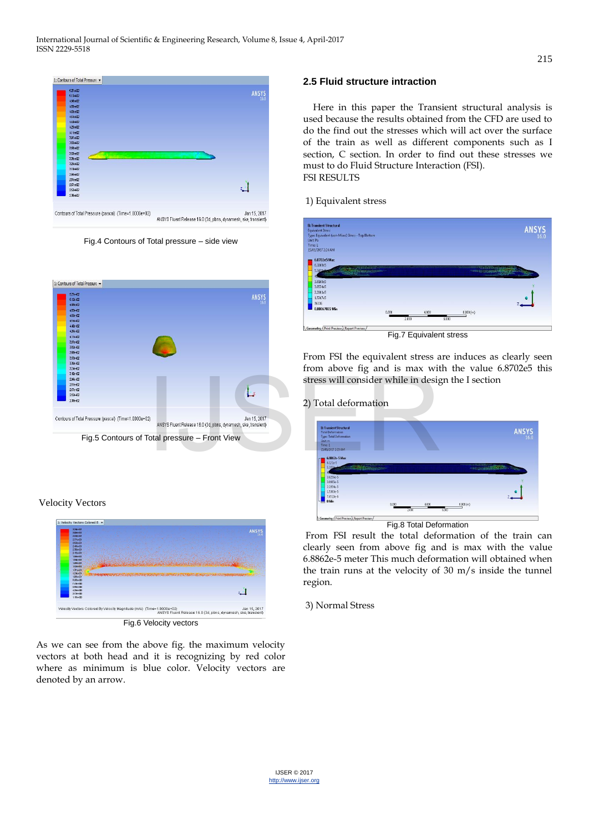

Fig.4 Contours of Total pressure – side view



# Velocity Vectors



As we can see from the above fig. the maximum velocity vectors at both head and it is recognizing by red color where as minimum is blue color. Velocity vectors are denoted by an arrow.

# **2.5 Fluid structure intraction**

 Here in this paper the Transient structural analysis is used because the results obtained from the CFD are used to do the find out the stresses which will act over the surface of the train as well as different components such as I section, C section. In order to find out these stresses we must to do Fluid Structure Interaction (FSI). FSI RESULTS

# 1) Equivalent stress



Fig.7 Equivalent stress

From FSI the equivalent stress are induces as clearly seen from above fig and is max with the value 6.8702e5 this stress will consider while in design the I section

# 2) Total deformation



Fig.8 Total Deformation

 From FSI result the total deformation of the train can clearly seen from above fig and is max with the value 6.8862e-5 meter This much deformation will obtained when the train runs at the velocity of 30 m/s inside the tunnel region.

3) Normal Stress